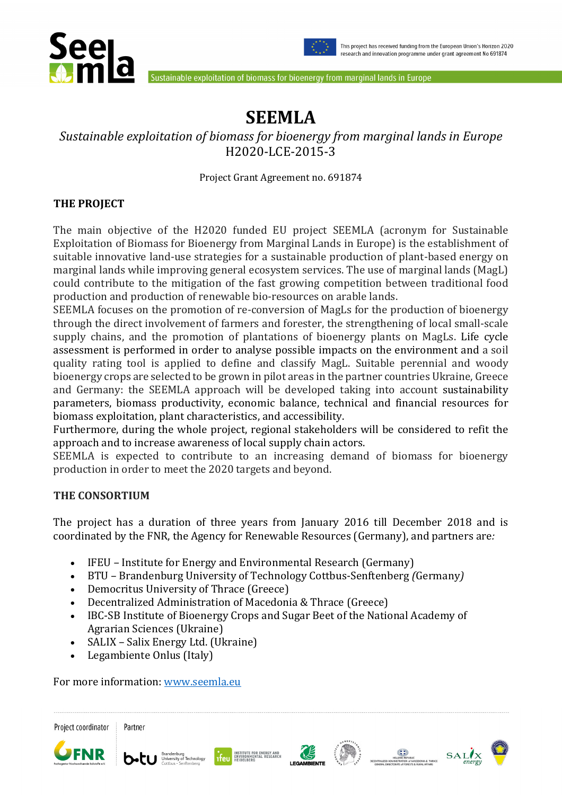



Sustainable exploitation of biomass for bioenergy from marginal lands in Europe

# **SEEMLA**

## *Sustainable exploitation of biomass for bioenergy from marginal lands in Europe*  H2020-LCE-2015-3

Project Grant Agreement no. 691874

#### **THE PROJECT**

The main objective of the H2020 funded EU project SEEMLA (acronym for Sustainable Exploitation of Biomass for Bioenergy from Marginal Lands in Europe) is the establishment of suitable innovative land-use strategies for a sustainable production of plant-based energy on marginal lands while improving general ecosystem services. The use of marginal lands (MagL) could contribute to the mitigation of the fast growing competition between traditional food production and production of renewable bio-resources on arable lands.

SEEMLA focuses on the promotion of re-conversion of MagLs for the production of bioenergy through the direct involvement of farmers and forester, the strengthening of local small-scale supply chains, and the promotion of plantations of bioenergy plants on MagLs. Life cycle assessment is performed in order to analyse possible impacts on the environment and a soil quality rating tool is applied to define and classify MagL. Suitable perennial and woody bioenergy crops are selected to be grown in pilot areas in the partner countries Ukraine, Greece and Germany: the SEEMLA approach will be developed taking into account sustainability parameters, biomass productivity, economic balance, technical and financial resources for biomass exploitation, plant characteristics, and accessibility.

Furthermore, during the whole project, regional stakeholders will be considered to refit the approach and to increase awareness of local supply chain actors.

SEEMLA is expected to contribute to an increasing demand of biomass for bioenergy production in order to meet the 2020 targets and beyond.

#### **THE CONSORTIUM**

The project has a duration of three years from January 2016 till December 2018 and is coordinated by the FNR, the Agency for Renewable Resources (Germany), and partners are*:* 

- IFEUInstitute for Energy and Environmental Research (Germany)
- BTU Brandenburg University of Technology Cottbus-Senftenberg *(*Germany*)*
- Democritus University of Thrace (Greece)
- Decentralized Administration of Macedonia & Thrace (Greece)
- IBC-SB Institute of Bioenergy Crops and Sugar Beet of the National Academy of Agrarian Sciences (Ukraine)
- SALIX Salix Energy Ltd. (Ukraine)
- Legambiente Onlus (Italy)

For more information: www.seemla.eu













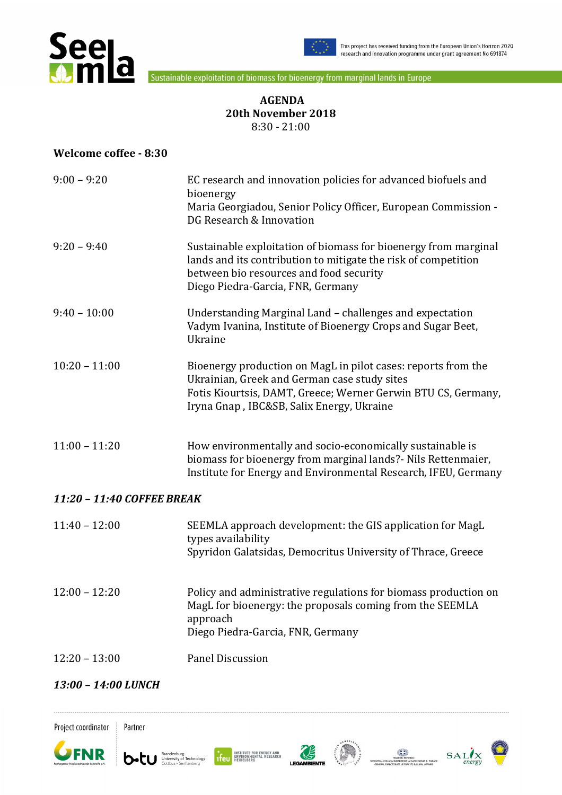



Sustainable exploitation of biomass for bioenergy from marginal lands in Europe

#### **AGENDA 20th November 2018**  8:30 - 21:00

#### **Welcome coffee - 8:30**

| $9:00 - 9:20$              | EC research and innovation policies for advanced biofuels and<br>bioenergy<br>Maria Georgiadou, Senior Policy Officer, European Commission -<br>DG Research & Innovation                                                    |  |
|----------------------------|-----------------------------------------------------------------------------------------------------------------------------------------------------------------------------------------------------------------------------|--|
| $9:20 - 9:40$              | Sustainable exploitation of biomass for bioenergy from marginal<br>lands and its contribution to mitigate the risk of competition<br>between bio resources and food security<br>Diego Piedra-Garcia, FNR, Germany           |  |
| $9:40 - 10:00$             | Understanding Marginal Land - challenges and expectation<br>Vadym Ivanina, Institute of Bioenergy Crops and Sugar Beet,<br>Ukraine                                                                                          |  |
| $10:20 - 11:00$            | Bioenergy production on MagL in pilot cases: reports from the<br>Ukrainian, Greek and German case study sites<br>Fotis Kiourtsis, DAMT, Greece; Werner Gerwin BTU CS, Germany,<br>Iryna Gnap, IBC&SB, Salix Energy, Ukraine |  |
| $11:00 - 11:20$            | How environmentally and socio-economically sustainable is<br>biomass for bioenergy from marginal lands?- Nils Rettenmaier,<br>Institute for Energy and Environmental Research, IFEU, Germany                                |  |
| 11:20 - 11:40 COFFEE BREAK |                                                                                                                                                                                                                             |  |
| $11:40 - 12:00$            | SEEMLA approach development: the GIS application for MagL<br>types availability<br>Spyridon Galatsidas, Democritus University of Thrace, Greece                                                                             |  |
| $12:00 - 12:20$            | Policy and administrative regulations for biomass production on<br>MagL for bioenergy: the proposals coming from the SEEMLA<br>approach<br>Diego Piedra-Garcia, FNR, Germany                                                |  |
| $12:20 - 13:00$            | <b>Panel Discussion</b>                                                                                                                                                                                                     |  |
|                            |                                                                                                                                                                                                                             |  |

#### *13:00 – 14:00 LUNCH*











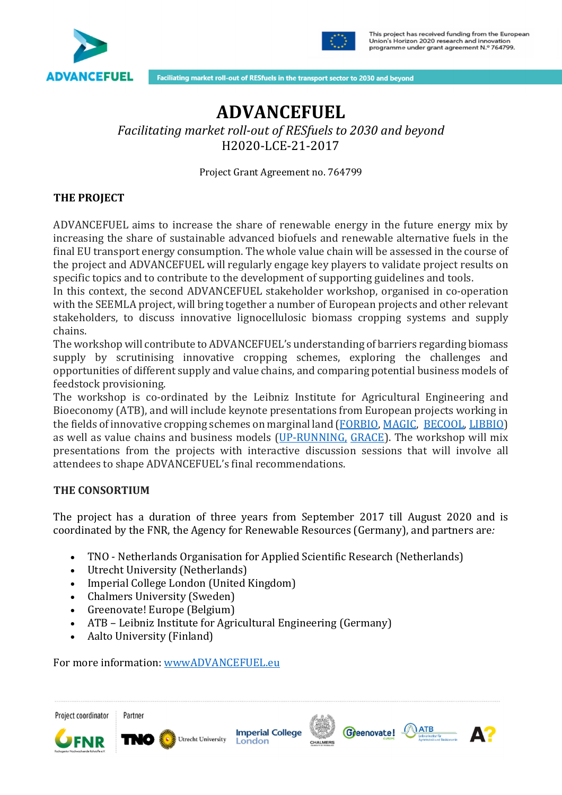



Faciliating market roll-out of RESfuels in the transport sector to 2030 and beyond

## **ADVANCEFUEL**

### *Facilitating market roll-out of RESfuels to 2030 and beyond*  H2020-LCE-21-2017

Project Grant Agreement no. 764799

#### **THE PROJECT**

ADVANCEFUEL aims to increase the share of renewable energy in the future energy mix by increasing the share of sustainable advanced biofuels and renewable alternative fuels in the final EU transport energy consumption. The whole value chain will be assessed in the course of the project and ADVANCEFUEL will regularly engage key players to validate project results on specific topics and to contribute to the development of supporting guidelines and tools.

In this context, the second ADVANCEFUEL stakeholder workshop, organised in co-operation with the SEEMLA project, will bring together a number of European projects and other relevant stakeholders, to discuss innovative lignocellulosic biomass cropping systems and supply chains.

The workshop will contribute to ADVANCEFUEL's understanding of barriers regarding biomass supply by scrutinising innovative cropping schemes, exploring the challenges and opportunities of different supply and value chains, and comparing potential business models of feedstock provisioning.

The workshop is co-ordinated by the Leibniz Institute for Agricultural Engineering and Bioeconomy (ATB), and will include keynote presentations from European projects working in the fields of innovative cropping schemes on marginal land (FORBIO, MAGIC, BECOOL, LIBBIO) as well as value chains and business models (UP-RUNNING, GRACE). The workshop will mix presentations from the projects with interactive discussion sessions that will involve all attendees to shape ADVANCEFUEL's final recommendations.

#### **THE CONSORTIUM**

The project has a duration of three years from September 2017 till August 2020 and is coordinated by the FNR, the Agency for Renewable Resources (Germany), and partners are*:* 

- TNO Netherlands Organisation for Applied Scientific Research (Netherlands)
- Utrecht University (Netherlands)
- Imperial College London (United Kingdom)
- Chalmers University (Sweden)
- Greenovate! Europe (Belgium)
- ATB Leibniz Institute for Agricultural Engineering (Germany)
- Aalto University (Finland)

For more information: wwwADVANCEFUEL.eu



Partner



**Imperial College** Utrecht University London





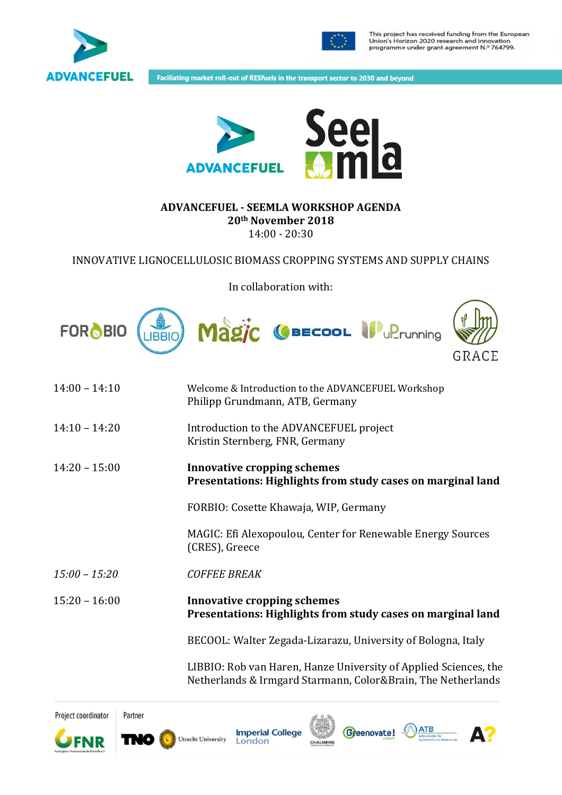



This project has received funding from the European<br>Union's Horizon 2020 research and innovation<br>programme under grant agreement N.º 764799.

Faciliating market roll-out of RESfuels in the transport sector to 2030 and beyond



#### **ADVANCEFUEL - SEEMLA WORKSHOP AGENDA 20th November 2018**  14:00 - 20:30

INNOVATIVE LIGNOCELLULOSIC BIOMASS CROPPING SYSTEMS AND SUPPLY CHAINS

In collaboration with:



| $14:00 - 14:10$ | Welcome & Introduction to the ADVANCEFUEL Workshop<br>Philipp Grundmann, ATB, Germany             |
|-----------------|---------------------------------------------------------------------------------------------------|
| $14:10 - 14:20$ | Introduction to the ADVANCEFUEL project<br>Kristin Sternberg, FNR, Germany                        |
| $14:20 - 15:00$ | <b>Innovative cropping schemes</b><br>Presentations: Highlights from study cases on marginal land |
|                 | FORBIO: Cosette Khawaja, WIP, Germany                                                             |
|                 | MAGIC: Efi Alexopoulou, Center for Renewable Energy Sources<br>(CRES), Greece                     |
| $15:00 - 15:20$ | <b>COFFEE BREAK</b>                                                                               |
| $15:20 - 16:00$ | <b>Innovative cropping schemes</b><br>Presentations: Highlights from study cases on marginal land |
|                 | BECOOL: Walter Zegada-Lizarazu, University of Bologna, Italy                                      |
|                 | ו יחויות מיוחדיות זז וחסות חו                                                                     |

 LIBBIO: Rob van Haren, Hanze University of Applied Sciences, the Netherlands & Irmgard Starmann, Color&Brain, The Netherlands

Project coordinator



Partner

**Imperial College** Utrecht University London